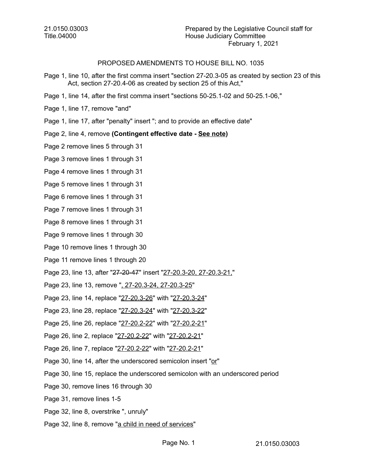21.0150.03003 Title.04000

### PROPOSED AMENDMENTS TO HOUSE BILL NO. 1035

- Page 1, line 10, after the first comma insert "section 27-20.3-05 as created by section 23 of this Act, section 27-20.4-06 as created by section 25 of this Act,"
- Page 1, line 14, after the first comma insert "sections 50-25.1-02 and 50-25.1-06,"
- Page 1, line 17, remove "and"
- Page 1, line 17, after "penalty" insert "; and to provide an effective date"

#### Page 2, line 4, remove **(Contingent effective date - See note)**

- Page 2 remove lines 5 through 31
- Page 3 remove lines 1 through 31
- Page 4 remove lines 1 through 31
- Page 5 remove lines 1 through 31
- Page 6 remove lines 1 through 31
- Page 7 remove lines 1 through 31
- Page 8 remove lines 1 through 31
- Page 9 remove lines 1 through 30
- Page 10 remove lines 1 through 30
- Page 11 remove lines 1 through 20
- Page 23, line 13, after "27-20-47" insert "27-20.3-20, 27-20.3-21,"
- Page 23, line 13, remove ", 27-20.3-24, 27-20.3-25"
- Page 23, line 14, replace "27-20.3-26" with "27-20.3-24"
- Page 23, line 28, replace "27-20.3-24" with "27-20.3-22"
- Page 25, line 26, replace "27-20.2-22" with "27-20.2-21"
- Page 26, line 2, replace "27-20.2-22" with "27-20.2-21"
- Page 26, line 7, replace "27-20.2-22" with "27-20.2-21"
- Page 30, line 14, after the underscored semicolon insert "or"
- Page 30, line 15, replace the underscored semicolon with an underscored period
- Page 30, remove lines 16 through 30
- Page 31, remove lines 1-5
- Page 32, line 8, overstrike ", unruly"
- Page 32, line 8, remove "a child in need of services"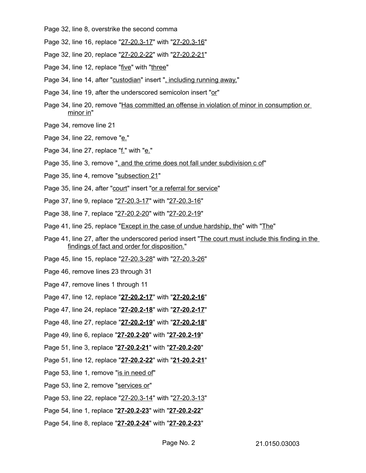- Page 32, line 8, overstrike the second comma
- Page 32, line 16, replace "27-20.3-17" with "27-20.3-16"
- Page 32, line 20, replace "27-20.2-22" with "27-20.2-21"
- Page 34, line 12, replace "five" with "three"
- Page 34, line 14, after "custodian" insert ", including running away,"
- Page 34, line 19, after the underscored semicolon insert "or"
- Page 34, line 20, remove "Has committed an offense in violation of minor in consumption or minor in"
- Page 34, remove line 21
- Page 34, line 22, remove "e."
- Page 34, line 27, replace " $\underline{f}$ ." with " $\underline{e}$ ."
- Page 35, line 3, remove ", and the crime does not fall under subdivision c of"
- Page 35, line 4, remove "subsection 21"
- Page 35, line 24, after "court" insert "or a referral for service"
- Page 37, line 9, replace "27-20.3-17" with "27-20.3-16"
- Page 38, line 7, replace "27-20.2-20" with "27-20.2-19"
- Page 41, line 25, replace "Except in the case of undue hardship, the" with "The"
- Page 41, line 27, after the underscored period insert "The court must include this finding in the findings of fact and order for disposition."
- Page 45, line 15, replace "27-20.3-28" with "27-20.3-26"
- Page 46, remove lines 23 through 31
- Page 47, remove lines 1 through 11
- Page 47, line 12, replace "27-20.2-17" with "27-20.2-16"
- Page 47, line 24, replace "27-20.2-18" with "27-20.2-17"
- Page 48, line 27, replace "27-20.2-19" with "27-20.2-18"
- Page 49, line 6, replace "27-20.2-20" with "27-20.2-19"
- Page 51, line 3, replace "27-20.2-21" with "27-20.2-20"
- Page 51, line 12, replace "27-20.2-22" with "21-20.2-21"
- Page 53, line 1, remove "is in need of"
- Page 53, line 2, remove "services or"
- Page 53, line 22, replace "27-20.3-14" with "27-20.3-13"
- Page 54, line 1, replace "27-20.2-23" with "27-20.2-22"
- Page 54, line 8, replace "27-20.2-24" with "27-20.2-23"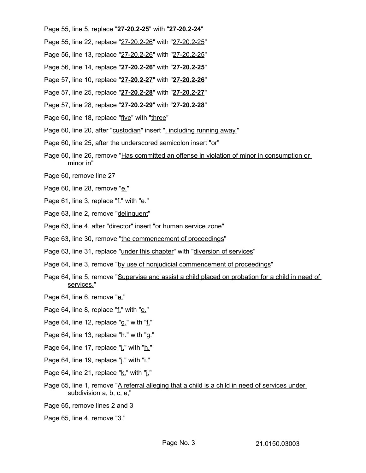Page 55, line 5, replace "27-20.2-25" with "27-20.2-24"

- Page 55, line 22, replace "27-20.2-26" with "27-20.2-25"
- Page 56, line 13, replace "27-20.2-26" with "27-20.2-25"
- Page 56, line 14, replace " **27 20.2 26**" with " **27 20.2 25**"
- Page 57, line 10, replace " **27 20.2 27**" with " **27 20.2 26**"
- Page 57, line 25, replace " **27 20.2 28**" with " **27 20.2 27**"
- Page 57, line 28, replace "27-20.2-29" with "27-20.2-28"
- Page 60, line 18, replace "five" with "three"
- Page 60, line 20, after "custodian" insert ", including running away,"
- Page 60, line 25, after the underscored semicolon insert "or"
- Page 60, line 26, remove "Has committed an offense in violation of minor in consumption or minor in"
- Page 60, remove line 27
- Page 60, line 28, remove "e."
- Page 61, line 3, replace "f." with "e."
- Page 63, line 2, remove "delinquent"
- Page 63, line 4, after "director" insert "or human service zone"
- Page 63, line 30, remove "the commencement of proceedings"
- Page 63, line 31, replace "under this chapter" with "diversion of services"
- Page 64, line 3, remove "by use of nonjudicial commencement of proceedings"
- Page 64, line 5, remove "Supervise and assist a child placed on probation for a child in need of services."
- Page 64, line 6, remove "e."
- Page 64, line 8, replace "f." with "e."
- Page 64, line 12, replace "g." with "f."
- Page 64, line 13, replace "h." with "g."
- Page 64, line 17, replace " $i$ <sup>"</sup> with " $h$ <sup>"</sup>
- Page 64, line 19, replace "j." with "i."
- Page 64, line 21, replace "k." with "j."
- Page 65, line 1, remove "A referral alleging that a child is a child in need of services under subdivision a, b, c, e,"
- Page 65, remove lines 2 and 3
- Page 65, line 4, remove "3."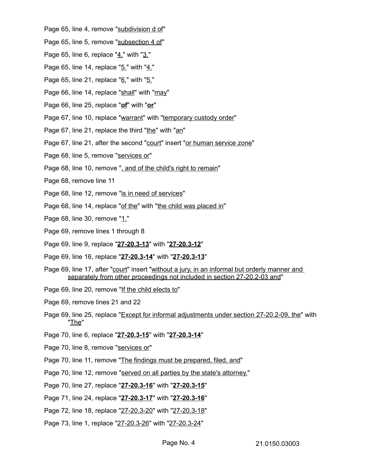- Page 65, line 4, remove "subdivision d of"
- Page 65, line 5, remove "subsection 4 of"
- Page 65, line 6, replace "4." with "3."
- Page 65, line 14, replace "5." with "4."
- Page 65, line 21, replace "6." with "5."
- Page 66, line 14, replace "shall" with "may"
- Page 66, line 25, replace "**of**" with "**or**"
- Page 67, line 10, replace "warrant" with "temporary custody order"
- Page 67, line 21, replace the third "the" with "an"
- Page 67, line 21, after the second "court" insert "or human service zone"
- Page 68, line 5, remove "services or"
- Page 68, line 10, remove ", and of the child's right to remain"
- Page 68, remove line 11
- Page 68, line 12, remove "is in need of services"
- Page 68, line 14, replace "of the" with "the child was placed in"
- Page 68, line 30, remove "1."
- Page 69, remove lines 1 through 8
- Page 69, line 9, replace "27-20.3-13" with "27-20.3-12"
- Page 69, line 16, replace " **27 20.3 14**" with " **27 20.3 13**"
- Page 69, line 17, after "court" insert "without a jury, in an informal but orderly manner and separately from other proceedings not included in section 27-20.2-03 and"
- Page 69, line 20, remove "If the child elects to"
- Page 69, remove lines 21 and 22
- Page 69, line 25, replace "Except for informal adjustments under section 27-20.2-09, the" with "The"
- Page 70, line 6, replace "27-20.3-15" with "27-20.3-14"
- Page 70, line 8, remove "services or"
- Page 70, line 11, remove "The findings must be prepared, filed, and"
- Page 70, line 12, remove "served on all parties by the state's attorney."
- Page 70, line 27, replace "27-20.3-16" with "27-20.3-15"
- Page 71, line 24, replace "27-20.3-17" with "27-20.3-16"
- Page 72, line 18, replace "27-20.3-20" with "27-20.3-18"
- Page 73, line 1, replace "27-20.3-26" with "27-20.3-24"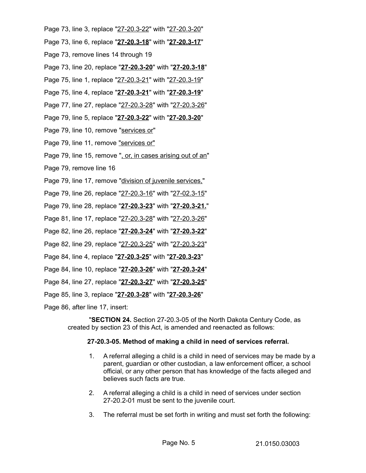- Page 73, line 3, replace "27-20.3-22" with "27-20.3-20"
- Page 73, line 6, replace "27-20.3-18" with "27-20.3-17"
- Page 73, remove lines 14 through 19
- Page 73, line 20, replace "27-20.3-20" with "27-20.3-18"
- Page 75, line 1, replace "27-20.3-21" with "27-20.3-19"
- Page 75, line 4, replace "27-20.3-21" with "27-20.3-19"
- Page 77, line 27, replace "27-20.3-28" with "27-20.3-26"
- Page 79, line 5, replace "27-20.3-22" with "27-20.3-20"
- Page 79, line 10, remove "services or"
- Page 79, line 11, remove "services or"
- Page 79, line 15, remove ", or, in cases arising out of an"
- Page 79, remove line 16
- Page 79, line 17, remove "division of juvenile services,"
- Page 79, line 26, replace "27-20.3-16" with "27-02.3-15"
- Page 79, line 28, replace "27-20.3-23" with "27-20.3-21."
- Page 81, line 17, replace "27-20.3-28" with "27-20.3-26"
- Page 82, line 26, replace "27-20.3-24" with "27-20.3-22"
- Page 82, line 29, replace "27-20.3-25" with "27-20.3-23"
- Page 84, line 4, replace " **27 20.3 25**" with " **27 20.3 23**"
- Page 84, line 10, replace "27-20.3-26" with "27-20.3-24"
- Page 84, line 27, replace "27-20.3-27" with "27-20.3-25"
- Page 85, line 3, replace "27-20.3-28" with "27-20.3-26"
- Page 86, after line 17, insert:

"**SECTION 24.** Section 27-20.3-05 of the North Dakota Century Code, as created by section 23 of this Act, is amended and reenacted as follows:

### **27-20.3-05. Method of making a child in need of services referral.**

- 1. A referral alleging a child is a child in need of services may be made by a parent, guardian or other custodian, a law enforcement officer, a school official, or any other person that has knowledge of the facts alleged and believes such facts are true.
- 2. A referral alleging a child is a child in need of services under section 27-20.2-01 must be sent to the juvenile court.
- 3. The referral must be set forth in writing and must set forth the following: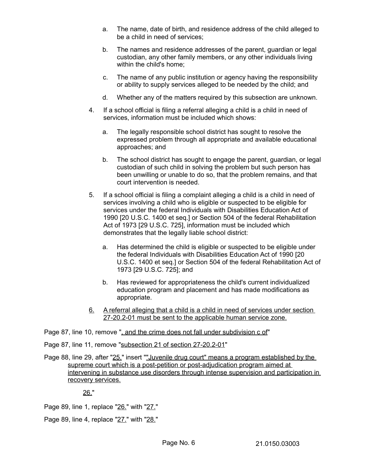- a. The name, date of birth, and residence address of the child alleged to be a child in need of services;
- b. The names and residence addresses of the parent, guardian or legal custodian, any other family members, or any other individuals living within the child's home;
- c. The name of any public institution or agency having the responsibility or ability to supply services alleged to be needed by the child; and
- d. Whether any of the matters required by this subsection are unknown.
- 4. If a school official is filing a referral alleging a child is a child in need of services, information must be included which shows:
	- a. The legally responsible school district has sought to resolve the expressed problem through all appropriate and available educational approaches; and
	- b. The school district has sought to engage the parent, guardian, or legal custodian of such child in solving the problem but such person has been unwilling or unable to do so, that the problem remains, and that court intervention is needed.
- 5. If a school official is filing a complaint alleging a child is a child in need of services involving a child who is eligible or suspected to be eligible for services under the federal Individuals with Disabilities Education Act of 1990 [20 U.S.C. 1400 et seq.] or Section 504 of the federal Rehabilitation Act of 1973 [29 U.S.C. 725], information must be included which demonstrates that the legally liable school district:
	- a. Has determined the child is eligible or suspected to be eligible under the federal Individuals with Disabilities Education Act of 1990 [20 U.S.C. 1400 et seq.] or Section 504 of the federal Rehabilitation Act of 1973 [29 U.S.C. 725]; and
	- b. Has reviewed for appropriateness the child's current individualized education program and placement and has made modifications as appropriate.
- 6. A referral alleging that a child is a child in need of services under section 27-20.2-01 must be sent to the applicable human service zone.

Page 87, line 10, remove ", and the crime does not fall under subdivision c of"

Page 87, line 11, remove "subsection 21 of section 27-20.2-01"

Page 88, line 29, after "25." insert "" Juvenile drug court" means a program established by the supreme court which is a post-petition or post-adjudication program aimed at intervening in substance use disorders through intense supervision and participation in recovery services.

26."

Page 89, line 1, replace "26." with "27."

Page 89, line 4, replace "27." with "28."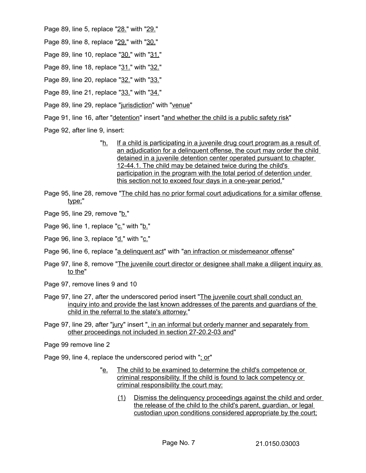Page 89, line 5, replace "28." with "29."

Page 89, line 8, replace "29." with "30."

Page 89, line 10, replace "30." with "31."

Page 89, line 18, replace "31." with "32."

- Page 89, line 20, replace "32." with "33."
- Page 89, line 21, replace "33." with "34."

Page 89, line 29, replace "jurisdiction" with "venue"

Page 91, line 16, after "detention" insert "and whether the child is a public safety risk"

Page 92, after line 9, insert:

- "h. If a child is participating in a juvenile drug court program as a result of an adjudication for a delinquent offense, the court may order the child detained in a juvenile detention center operated pursuant to chapter 12-44.1. The child may be detained twice during the child's participation in the program with the total period of detention under this section not to exceed four days in a one-year period."
- Page 95, line 28, remove "The child has no prior formal court adjudications for a similar offense type;"
- Page 95, line 29, remove "b."

Page 96, line 1, replace "c." with "b."

- Page 96, line 3, replace "d." with "c."
- Page 96, line 6, replace "a delinguent act" with "an infraction or misdemeanor offense"
- Page 97, line 8, remove "The juvenile court director or designee shall make a diligent inquiry as to the"
- Page 97, remove lines 9 and 10
- Page 97, line 27, after the underscored period insert "The juvenile court shall conduct an inquiry into and provide the last known addresses of the parents and guardians of the child in the referral to the state's attorney."
- Page 97, line 29, after "jury" insert ", in an informal but orderly manner and separately from other proceedings not included in section 27-20.2-03 and"

Page 99 remove line 2

Page 99, line 4, replace the underscored period with "; or"

- "e. The child to be examined to determine the child's competence or criminal responsibility. If the child is found to lack competency or criminal responsibility the court may:
	- (1) Dismiss the delinquency proceedings against the child and order the release of the child to the child's parent, guardian, or legal custodian upon conditions considered appropriate by the court;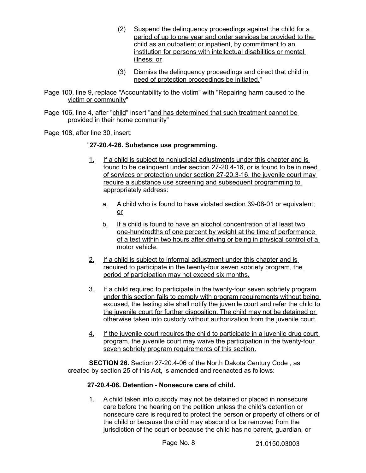- (2) Suspend the delinquency proceedings against the child for a period of up to one year and order services be provided to the child as an outpatient or inpatient, by commitment to an institution for persons with intellectual disabilities or mental illness; or
- (3) Dismiss the delinquency proceedings and direct that child in need of protection proceedings be initiated."
- Page 100, line 9, replace "Accountability to the victim" with "Repairing harm caused to the victim or community"
- Page 106, line 4, after "child" insert "and has determined that such treatment cannot be provided in their home community"

Page 108, after line 30, insert:

## " **27 - 20.4 - 26. Substance use programming.**

- 1. If a child is subject to nonjudicial adjustments under this chapter and is found to be delinquent under section 27-20.4-16, or is found to be in need of services or protection under section 27-20.3-16, the juvenile court may require a substance use screening and subsequent programming to appropriately address:
	- a. A child who is found to have violated section 39-08-01 or equivalent; or
	- b. If a child is found to have an alcohol concentration of at least two one-hundredths of one percent by weight at the time of performance of a test within two hours after driving or being in physical control of a motor vehicle.
- 2. If a child is subject to informal adjustment under this chapter and is required to participate in the twenty-four seven sobriety program, the period of participation may not exceed six months.
- 3. If a child required to participate in the twenty-four seven sobriety program under this section fails to comply with program requirements without being excused, the testing site shall notify the juvenile court and refer the child to the juvenile court for further disposition. The child may not be detained or otherwise taken into custody without authorization from the juvenile court.
- 4. If the juvenile court requires the child to participate in a juvenile drug court program, the juvenile court may waive the participation in the twenty-four seven sobriety program requirements of this section.

**SECTION 26.** Section 27-20.4-06 of the North Dakota Century Code , as created by section 25 of this Act, is amended and reenacted as follows:

## **27-20.4-06. Detention - Nonsecure care of child.**

1. A child taken into custody may not be detained or placed in nonsecure care before the hearing on the petition unless the child's detention or nonsecure care is required to protect the person or property of others or of the child or because the child may abscond or be removed from the jurisdiction of the court or because the child has no parent, guardian, or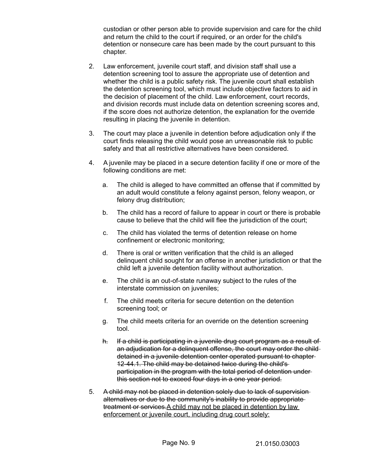custodian or other person able to provide supervision and care for the child and return the child to the court if required, or an order for the child's detention or nonsecure care has been made by the court pursuant to this chapter.

- 2. Law enforcement, juvenile court staff, and division staff shall use a detention screening tool to assure the appropriate use of detention and whether the child is a public safety risk. The juvenile court shall establish the detention screening tool, which must include objective factors to aid in the decision of placement of the child. Law enforcement, court records, and division records must include data on detention screening scores and, if the score does not authorize detention, the explanation for the override resulting in placing the juvenile in detention.
- 3. The court may place a juvenile in detention before adjudication only if the court finds releasing the child would pose an unreasonable risk to public safety and that all restrictive alternatives have been considered.
- 4. A juvenile may be placed in a secure detention facility if one or more of the following conditions are met:
	- a. The child is alleged to have committed an offense that if committed by an adult would constitute a felony against person, felony weapon, or felony drug distribution;
	- b. The child has a record of failure to appear in court or there is probable cause to believe that the child will flee the jurisdiction of the court;
	- c. The child has violated the terms of detention release on home confinement or electronic monitoring;
	- d. There is oral or written verification that the child is an alleged delinquent child sought for an offense in another jurisdiction or that the child left a juvenile detention facility without authorization.
	- e. The child is an out-of-state runaway subject to the rules of the interstate commission on juveniles;
	- f. The child meets criteria for secure detention on the detention screening tool; or
	- g. The child meets criteria for an override on the detention screening tool.
	- h. If a child is participating in a juvenile drug court program as a result of an adjudication for a delinquent offense, the court may order the child detained in a juvenile detention center operated pursuant to chapter 12-44.1. The child may be detained twice during the child's participation in the program with the total period of detention under this section not to exceed four days in a one year period.
- 5. A child may not be placed in detention solely due to lack of supervision alternatives or due to the community's inability to provide appropriate treatment or services.A child may not be placed in detention by law enforcement or juvenile court, including drug court solely: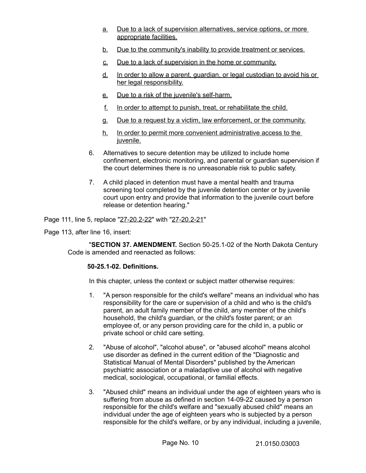- a. Due to a lack of supervision alternatives, service options, or more appropriate facilities.
- b. Due to the community's inability to provide treatment or services.
- c. Due to a lack of supervision in the home or community.
- d. In order to allow a parent, guardian, or legal custodian to avoid his or her legal responsibility.
- e. Due to a risk of the juvenile's self-harm.
- f. In order to attempt to punish, treat, or rehabilitate the child.
- g. Due to a request by a victim, law enforcement, or the community.
- h. In order to permit more convenient administrative access to the juvenile.
- 6. Alternatives to secure detention may be utilized to include home confinement, electronic monitoring, and parental or guardian supervision if the court determines there is no unreasonable risk to public safety.
- 7. A child placed in detention must have a mental health and trauma screening tool completed by the juvenile detention center or by juvenile court upon entry and provide that information to the juvenile court before release or detention hearing."

Page 111, line 5, replace "27-20.2-22" with "27-20.2-21"

Page 113, after line 16, insert:

"**SECTION 37. AMENDMENT.** Section 50-25.1-02 of the North Dakota Century Code is amended and reenacted as follows:

## **50-25.1-02. Definitions.**

In this chapter, unless the context or subject matter otherwise requires:

- 1. "A person responsible for the child's welfare" means an individual who has responsibility for the care or supervision of a child and who is the child's parent, an adult family member of the child, any member of the child's household, the child's guardian, or the child's foster parent; or an employee of, or any person providing care for the child in, a public or private school or child care setting.
- 2. "Abuse of alcohol", "alcohol abuse", or "abused alcohol" means alcohol use disorder as defined in the current edition of the "Diagnostic and Statistical Manual of Mental Disorders" published by the American psychiatric association or a maladaptive use of alcohol with negative medical, sociological, occupational, or familial effects.
- 3. "Abused child" means an individual under the age of eighteen years who is suffering from abuse as defined in section 14-09-22 caused by a person responsible for the child's welfare and "sexually abused child" means an individual under the age of eighteen years who is subjected by a person responsible for the child's welfare, or by any individual, including a juvenile,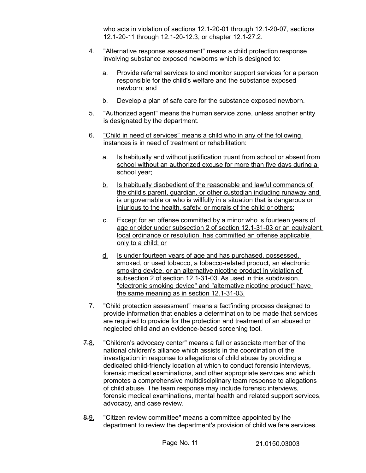who acts in violation of sections 12.1-20-01 through 12.1-20-07, sections 12.1-20-11 through 12.1-20-12.3, or chapter 12.1-27.2.

- 4. "Alternative response assessment" means a child protection response involving substance exposed newborns which is designed to:
	- a. Provide referral services to and monitor support services for a person responsible for the child's welfare and the substance exposed newborn; and
	- b. Develop a plan of safe care for the substance exposed newborn.
- 5. "Authorized agent" means the human service zone, unless another entity is designated by the department.
- 6. "Child in need of services" means a child who in any of the following instances is in need of treatment or rehabilitation:
	- a. Is habitually and without justification truant from school or absent from school without an authorized excuse for more than five days during a school year;
	- b. Is habitually disobedient of the reasonable and lawful commands of the child's parent, guardian, or other custodian including runaway and is ungovernable or who is willfully in a situation that is dangerous or injurious to the health, safety, or morals of the child or others;
	- c. Except for an offense committed by a minor who is fourteen years of age or older under subsection 2 of section 12.1-31-03 or an equivalent local ordinance or resolution, has committed an offense applicable only to a child; or
	- d. Is under fourteen years of age and has purchased, possessed, smoked, or used tobacco, a tobacco-related product, an electronic smoking device, or an alternative nicotine product in violation of subsection 2 of section 12.1-31-03. As used in this subdivision, "electronic smoking device" and "alternative nicotine product" have the same meaning as in section 12.1-31-03.
- 7. "Child protection assessment" means a factfinding process designed to provide information that enables a determination to be made that services are required to provide for the protection and treatment of an abused or neglected child and an evidence-based screening tool.
- 7.8. "Children's advocacy center" means a full or associate member of the national children's alliance which assists in the coordination of the investigation in response to allegations of child abuse by providing a dedicated child-friendly location at which to conduct forensic interviews, forensic medical examinations, and other appropriate services and which promotes a comprehensive multidisciplinary team response to allegations of child abuse. The team response may include forensic interviews, forensic medical examinations, mental health and related support services, advocacy, and case review.
- 8.9. "Citizen review committee" means a committee appointed by the department to review the department's provision of child welfare services.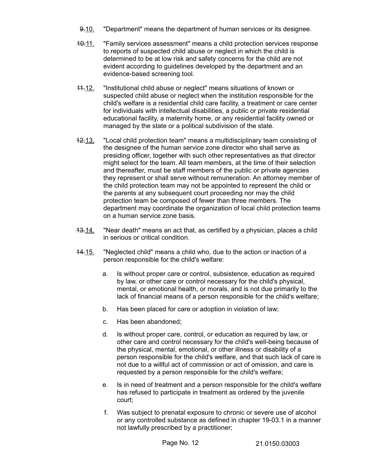- 9.10. "Department" means the department of human services or its designee.
- 10.11. "Family services assessment" means a child protection services response to reports of suspected child abuse or neglect in which the child is determined to be at low risk and safety concerns for the child are not evident according to guidelines developed by the department and an evidence-based screening tool.
- 11.12. "Institutional child abuse or neglect" means situations of known or suspected child abuse or neglect when the institution responsible for the child's welfare is a residential child care facility, a treatment or care center for individuals with intellectual disabilities, a public or private residential educational facility, a maternity home, or any residential facility owned or managed by the state or a political subdivision of the state.
- 12.13. "Local child protection team" means a multidisciplinary team consisting of the designee of the human service zone director who shall serve as presiding officer, together with such other representatives as that director might select for the team. All team members, at the time of their selection and thereafter, must be staff members of the public or private agencies they represent or shall serve without remuneration. An attorney member of the child protection team may not be appointed to represent the child or the parents at any subsequent court proceeding nor may the child protection team be composed of fewer than three members. The department may coordinate the organization of local child protection teams on a human service zone basis.
- 13.14. "Near death" means an act that, as certified by a physician, places a child in serious or critical condition.
- 14.15. "Neglected child" means a child who, due to the action or inaction of a person responsible for the child's welfare:
	- a. Is without proper care or control, subsistence, education as required by law, or other care or control necessary for the child's physical, mental, or emotional health, or morals, and is not due primarily to the lack of financial means of a person responsible for the child's welfare;
	- b. Has been placed for care or adoption in violation of law;
	- c. Has been abandoned;
	- d. Is without proper care, control, or education as required by law, or other care and control necessary for the child's well-being because of the physical, mental, emotional, or other illness or disability of a person responsible for the child's welfare, and that such lack of care is not due to a willful act of commission or act of omission, and care is requested by a person responsible for the child's welfare;
	- e. Is in need of treatment and a person responsible for the child's welfare has refused to participate in treatment as ordered by the juvenile court;
	- f. Was subject to prenatal exposure to chronic or severe use of alcohol or any controlled substance as defined in chapter 19-03.1 in a manner not lawfully prescribed by a practitioner;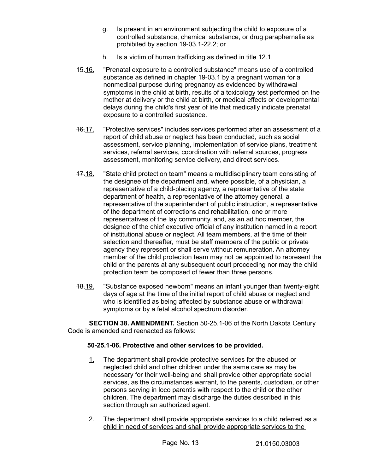- g. Is present in an environment subjecting the child to exposure of a controlled substance, chemical substance, or drug paraphernalia as prohibited by section 19-03.1-22.2; or
- h. Is a victim of human trafficking as defined in title 12.1.
- 15.16. "Prenatal exposure to a controlled substance" means use of a controlled substance as defined in chapter 19-03.1 by a pregnant woman for a nonmedical purpose during pregnancy as evidenced by withdrawal symptoms in the child at birth, results of a toxicology test performed on the mother at delivery or the child at birth, or medical effects or developmental delays during the child's first year of life that medically indicate prenatal exposure to a controlled substance.
- 16.17. "Protective services" includes services performed after an assessment of a report of child abuse or neglect has been conducted, such as social assessment, service planning, implementation of service plans, treatment services, referral services, coordination with referral sources, progress assessment, monitoring service delivery, and direct services.
- 17.18. "State child protection team" means a multidisciplinary team consisting of the designee of the department and, where possible, of a physician, a representative of a child-placing agency, a representative of the state department of health, a representative of the attorney general, a representative of the superintendent of public instruction, a representative of the department of corrections and rehabilitation, one or more representatives of the lay community, and, as an ad hoc member, the designee of the chief executive official of any institution named in a report of institutional abuse or neglect. All team members, at the time of their selection and thereafter, must be staff members of the public or private agency they represent or shall serve without remuneration. An attorney member of the child protection team may not be appointed to represent the child or the parents at any subsequent court proceeding nor may the child protection team be composed of fewer than three persons.
- 18.19. "Substance exposed newborn" means an infant younger than twenty-eight days of age at the time of the initial report of child abuse or neglect and who is identified as being affected by substance abuse or withdrawal symptoms or by a fetal alcohol spectrum disorder.

**SECTION 38. AMENDMENT.** Section 50-25.1-06 of the North Dakota Century Code is amended and reenacted as follows:

# **50-25.1-06. Protective and other services to be provided.**

- 1. The department shall provide protective services for the abused or neglected child and other children under the same care as may be necessary for their well-being and shall provide other appropriate social services, as the circumstances warrant, to the parents, custodian, or other persons serving in loco parentis with respect to the child or the other children. The department may discharge the duties described in this section through an authorized agent.
- 2. The department shall provide appropriate services to a child referred as a child in need of services and shall provide appropriate services to the